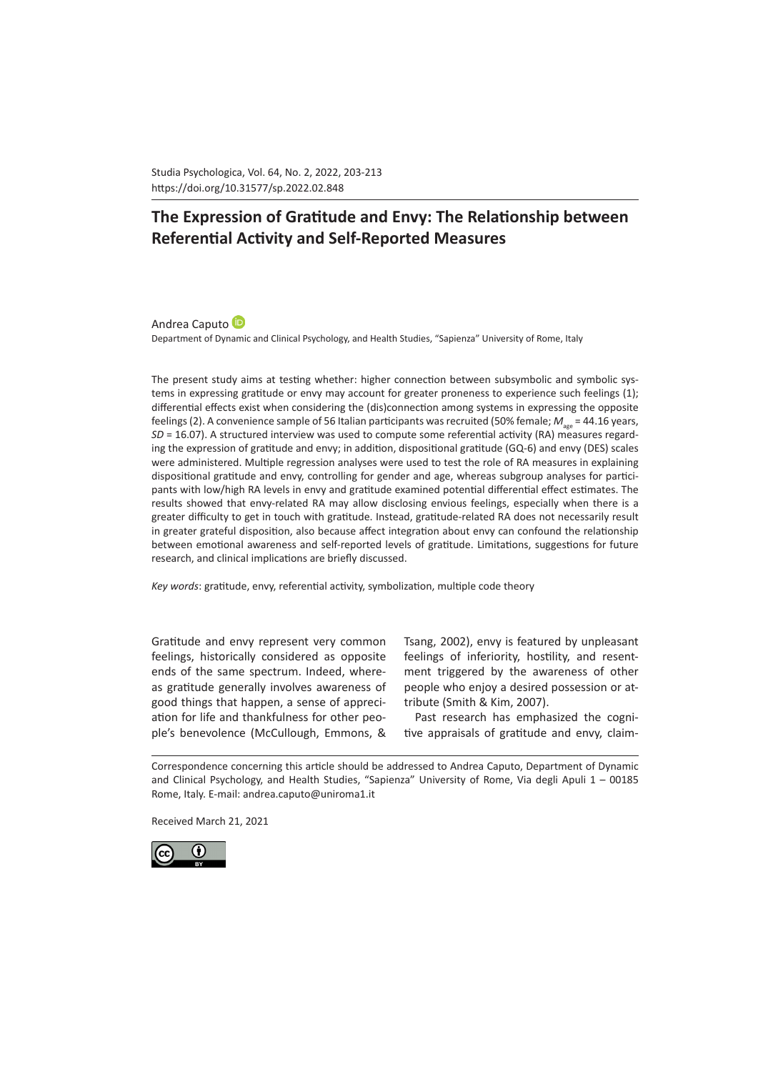Studia Psychologica, Vol. 64, No. 2, 2022, 203-213 https://doi.org/10.31577/sp.2022.02.848 

# **The Expression of Gratitude and Envy: The Relationship between Referential Activity and Self-Reported Measures**

AndreaCaputo<sup>(D</sup>

Department of Dynamic and Clinical Psychology, and Health Studies, "Sapienza" University of Rome, Italy

The present study aims at testing whether: higher connection between subsymbolic and symbolic systems in expressing gratitude or envy may account for greater proneness to experience such feelings (1); differential effects exist when considering the (dis)connection among systems in expressing the opposite feelings (2). A convenience sample of 56 Italian participants was recruited (50% female;  $M_{\text{gas}}$  = 44.16 years, *SD* = 16.07). A structured interview was used to compute some referential activity (RA) measures regarding the expression of gratitude and envy; in addition, dispositional gratitude (GQ-6) and envy (DES) scales were administered. Multiple regression analyses were used to test the role of RA measures in explaining dispositional gratitude and envy, controlling for gender and age, whereas subgroup analyses for participants with low/high RA levels in envy and gratitude examined potential differential effect estimates. The results showed that envy-related RA may allow disclosing envious feelings, especially when there is a greater difficulty to get in touch with gratitude. Instead, gratitude-related RA does not necessarily result in greater grateful disposition, also because affect integration about envy can confound the relationship between emotional awareness and self-reported levels of gratitude. Limitations, suggestions for future research, and clinical implications are briefly discussed.

*Key words*: gratitude, envy, referential activity, symbolization, multiple code theory

Gratitude and envy represent very common feelings, historically considered as opposite ends of the same spectrum. Indeed, whereas gratitude generally involves awareness of good things that happen, a sense of appreciation for life and thankfulness for other people's benevolence (McCullough, Emmons, &

Tsang, 2002), envy is featured by unpleasant feelings of inferiority, hostility, and resentment triggered by the awareness of other people who enjoy a desired possession or attribute (Smith & Kim, 2007).

Past research has emphasized the cognitive appraisals of gratitude and envy, claim-

Correspondence concerning this article should be addressed to Andrea Caputo, Department of Dynamic and Clinical Psychology, and Health Studies, "Sapienza" University of Rome, Via degli Apuli 1 – 00185 Rome, Italy. E-mail: andrea.caputo@uniroma1.it

Received March 21, 2021

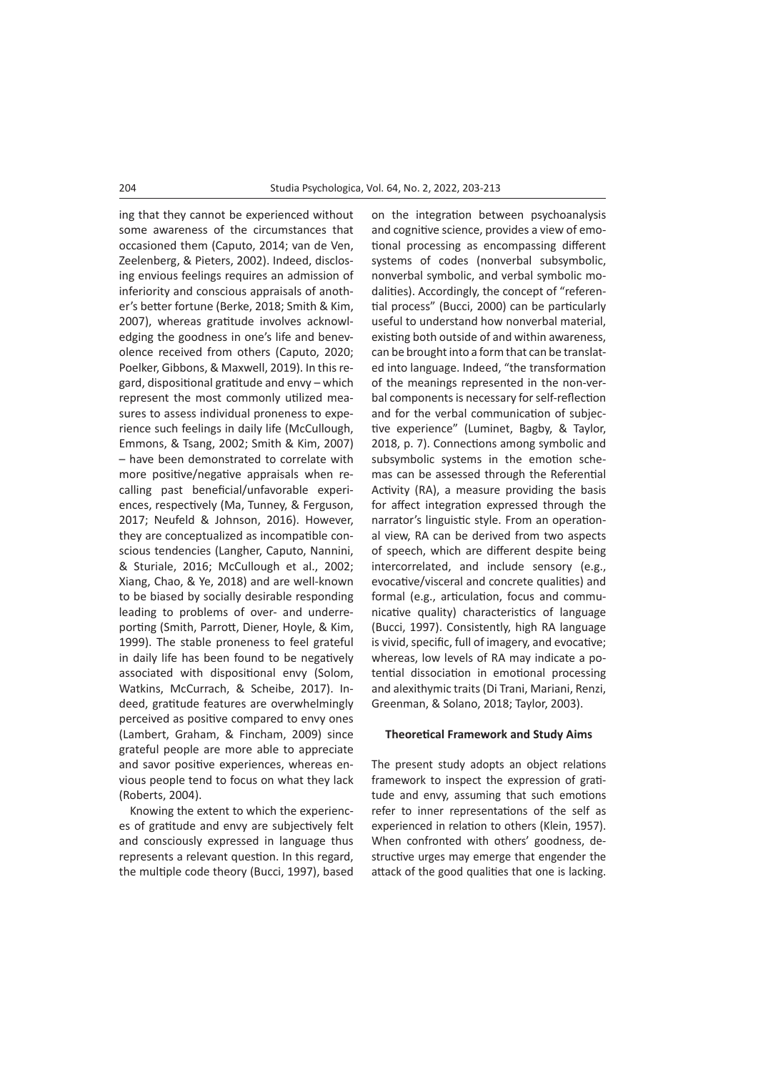ing that they cannot be experienced without some awareness of the circumstances that occasioned them (Caputo, 2014; van de Ven, Zeelenberg, & Pieters, 2002). Indeed, disclosing envious feelings requires an admission of inferiority and conscious appraisals of another's better fortune (Berke, 2018; Smith & Kim, 2007), whereas gratitude involves acknowledging the goodness in one's life and benevolence received from others (Caputo, 2020; Poelker, Gibbons, & Maxwell, 2019). In this regard, dispositional gratitude and envy – which represent the most commonly utilized measures to assess individual proneness to experience such feelings in daily life (McCullough, Emmons, & Tsang, 2002; Smith & Kim, 2007) – have been demonstrated to correlate with more positive/negative appraisals when recalling past beneficial/unfavorable experiences, respectively (Ma, Tunney, & Ferguson, 2017; Neufeld & Johnson, 2016). However, they are conceptualized as incompatible conscious tendencies (Langher, Caputo, Nannini, & Sturiale, 2016; McCullough et al., 2002; Xiang, Chao, & Ye, 2018) and are well-known to be biased by socially desirable responding leading to problems of over- and underreporting (Smith, Parrott, Diener, Hoyle, & Kim, 1999). The stable proneness to feel grateful in daily life has been found to be negatively associated with dispositional envy (Solom, Watkins, McCurrach, & Scheibe, 2017). Indeed, gratitude features are overwhelmingly perceived as positive compared to envy ones (Lambert, Graham, & Fincham, 2009) since grateful people are more able to appreciate and savor positive experiences, whereas envious people tend to focus on what they lack (Roberts, 2004).

Knowing the extent to which the experiences of gratitude and envy are subjectively felt and consciously expressed in language thus represents a relevant question. In this regard, the multiple code theory (Bucci, 1997), based on the integration between psychoanalysis and cognitive science, provides a view of emotional processing as encompassing different systems of codes (nonverbal subsymbolic, nonverbal symbolic, and verbal symbolic modalities). Accordingly, the concept of "referential process" (Bucci, 2000) can be particularly useful to understand how nonverbal material, existing both outside of and within awareness, can be brought into a form that can be translated into language. Indeed, "the transformation of the meanings represented in the non-verbal components is necessary for self-reflection and for the verbal communication of subjective experience" (Luminet, Bagby, & Taylor, 2018, p. 7). Connections among symbolic and subsymbolic systems in the emotion schemas can be assessed through the Referential Activity (RA), a measure providing the basis for affect integration expressed through the narrator's linguistic style. From an operational view, RA can be derived from two aspects of speech, which are different despite being intercorrelated, and include sensory (e.g., evocative/visceral and concrete qualities) and formal (e.g., articulation, focus and communicative quality) characteristics of language (Bucci, 1997). Consistently, high RA language is vivid, specific, full of imagery, and evocative; whereas, low levels of RA may indicate a potential dissociation in emotional processing and alexithymic traits (Di Trani, Mariani, Renzi, Greenman, & Solano, 2018; Taylor, 2003).

# **Theoretical Framework and Study Aims**

The present study adopts an object relations framework to inspect the expression of gratitude and envy, assuming that such emotions refer to inner representations of the self as experienced in relation to others (Klein, 1957). When confronted with others' goodness, destructive urges may emerge that engender the attack of the good qualities that one is lacking.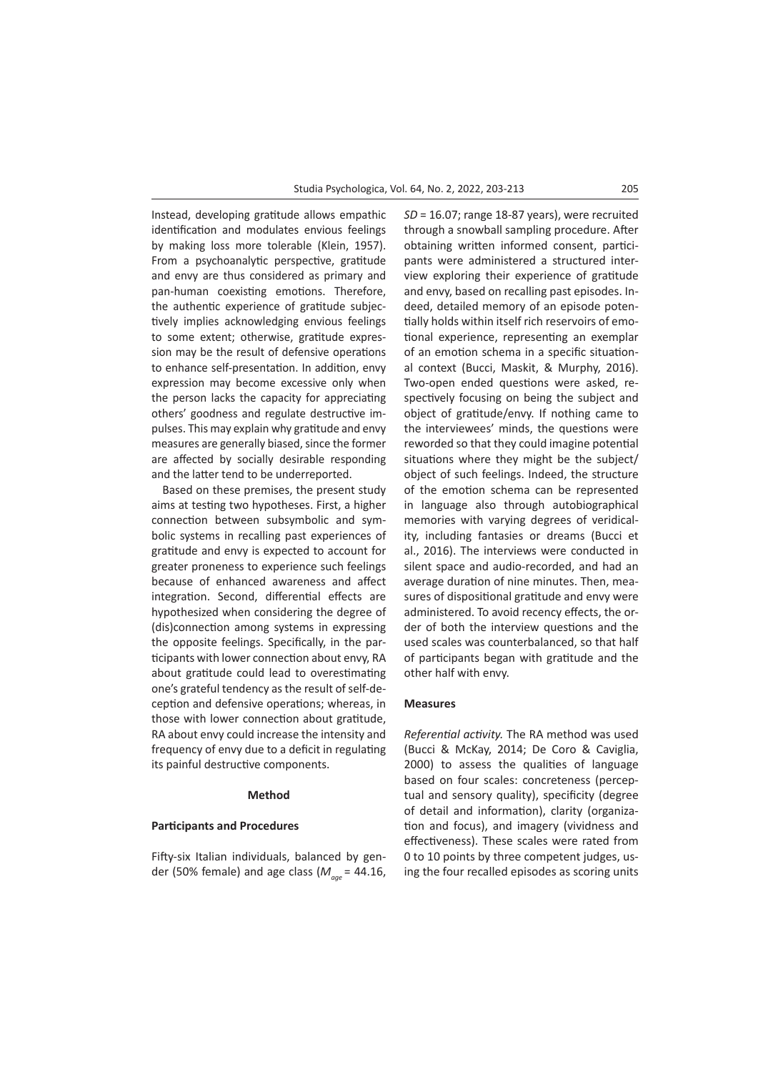Instead, developing gratitude allows empathic identification and modulates envious feelings by making loss more tolerable (Klein, 1957). From a psychoanalytic perspective, gratitude and envy are thus considered as primary and pan-human coexisting emotions. Therefore, the authentic experience of gratitude subjectively implies acknowledging envious feelings to some extent; otherwise, gratitude expression may be the result of defensive operations to enhance self-presentation. In addition, envy expression may become excessive only when the person lacks the capacity for appreciating others' goodness and regulate destructive impulses. This may explain why gratitude and envy measures are generally biased, since the former are affected by socially desirable responding and the latter tend to be underreported.

Based on these premises, the present study aims at testing two hypotheses. First, a higher connection between subsymbolic and symbolic systems in recalling past experiences of gratitude and envy is expected to account for greater proneness to experience such feelings because of enhanced awareness and affect integration. Second, differential effects are hypothesized when considering the degree of (dis)connection among systems in expressing the opposite feelings. Specifically, in the participants with lower connection about envy, RA about gratitude could lead to overestimating one's grateful tendency as the result of self-deception and defensive operations; whereas, in those with lower connection about gratitude, RA about envy could increase the intensity and frequency of envy due to a deficit in regulating its painful destructive components.

## **Method**

# **Participants and Procedures**

Fifty-six Italian individuals, balanced by gender (50% female) and age class (*Mage* = 44.16, *SD* = 16.07; range 18-87 years), were recruited through a snowball sampling procedure. After obtaining written informed consent, participants were administered a structured interview exploring their experience of gratitude and envy, based on recalling past episodes. Indeed, detailed memory of an episode potentially holds within itself rich reservoirs of emotional experience, representing an exemplar of an emotion schema in a specific situational context (Bucci, Maskit, & Murphy, 2016). Two-open ended questions were asked, respectively focusing on being the subject and object of gratitude/envy. If nothing came to the interviewees' minds, the questions were reworded so that they could imagine potential situations where they might be the subject/ object of such feelings. Indeed, the structure of the emotion schema can be represented in language also through autobiographical memories with varying degrees of veridicality, including fantasies or dreams (Bucci et al., 2016). The interviews were conducted in silent space and audio-recorded, and had an average duration of nine minutes. Then, measures of dispositional gratitude and envy were administered. To avoid recency effects, the order of both the interview questions and the used scales was counterbalanced, so that half of participants began with gratitude and the other half with envy.

## **Measures**

*Referential activity.* The RA method was used (Bucci & McKay, 2014; De Coro & Caviglia, 2000) to assess the qualities of language based on four scales: concreteness (perceptual and sensory quality), specificity (degree of detail and information), clarity (organization and focus), and imagery (vividness and effectiveness). These scales were rated from 0 to 10 points by three competent judges, using the four recalled episodes as scoring units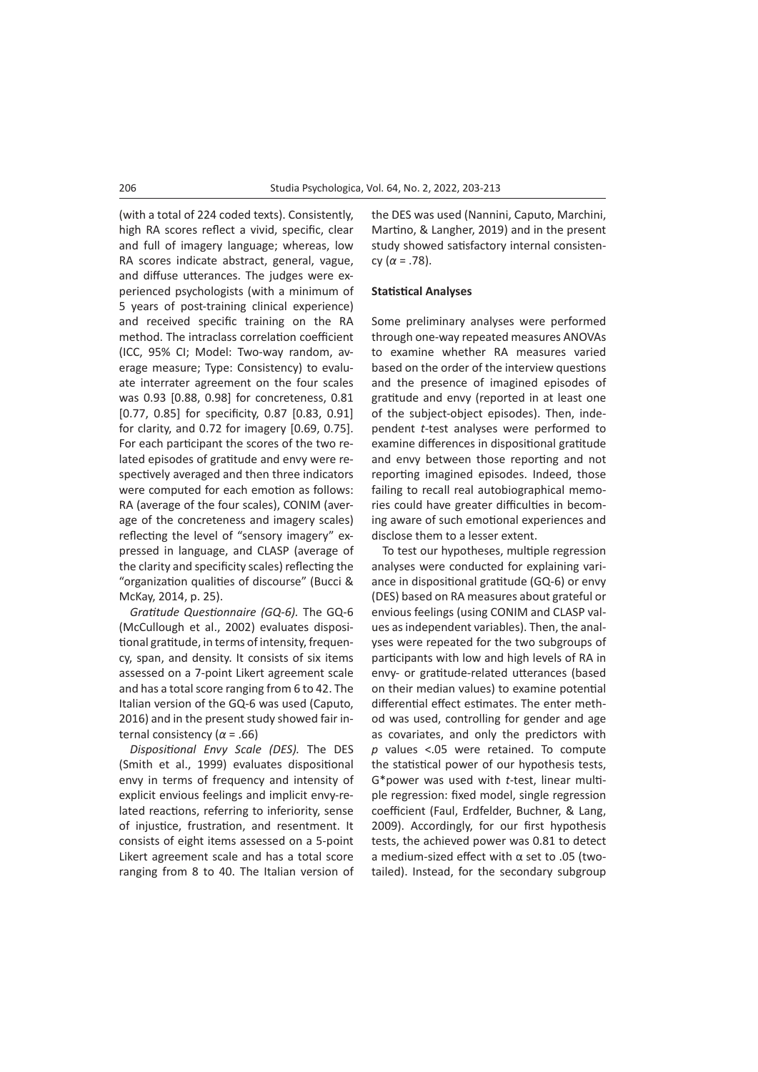(with a total of 224 coded texts). Consistently, high RA scores reflect a vivid, specific, clear and full of imagery language; whereas, low RA scores indicate abstract, general, vague, and diffuse utterances. The judges were experienced psychologists (with a minimum of 5 years of post-training clinical experience) and received specific training on the RA method. The intraclass correlation coefficient (ICC, 95% CI; Model: Two-way random, average measure; Type: Consistency) to evaluate interrater agreement on the four scales was 0.93 [0.88, 0.98] for concreteness, 0.81 [0.77, 0.85] for specificity, 0.87 [0.83, 0.91] for clarity, and 0.72 for imagery [0.69, 0.75]. For each participant the scores of the two related episodes of gratitude and envy were respectively averaged and then three indicators were computed for each emotion as follows: RA (average of the four scales), CONIM (average of the concreteness and imagery scales) reflecting the level of "sensory imagery" expressed in language, and CLASP (average of the clarity and specificity scales) reflecting the "organization qualities of discourse" (Bucci & McKay, 2014, p. 25).

*Gratitude Questionnaire (GQ-6).* The GQ-6 (McCullough et al., 2002) evaluates dispositional gratitude, in terms of intensity, frequency, span, and density. It consists of six items assessed on a 7-point Likert agreement scale and has a total score ranging from 6 to 42. The Italian version of the GQ-6 was used (Caputo, 2016) and in the present study showed fair internal consistency (*α* = .66)

*Dispositional Envy Scale (DES).* The DES (Smith et al., 1999) evaluates dispositional envy in terms of frequency and intensity of explicit envious feelings and implicit envy-related reactions, referring to inferiority, sense of injustice, frustration, and resentment. It consists of eight items assessed on a 5-point Likert agreement scale and has a total score ranging from 8 to 40. The Italian version of the DES was used (Nannini, Caputo, Marchini, Martino, & Langher, 2019) and in the present study showed satisfactory internal consistency (*α* = .78).

#### **Statistical Analyses**

Some preliminary analyses were performed through one-way repeated measures ANOVAs to examine whether RA measures varied based on the order of the interview questions and the presence of imagined episodes of gratitude and envy (reported in at least one of the subject-object episodes). Then, independent *t*-test analyses were performed to examine differences in dispositional gratitude and envy between those reporting and not reporting imagined episodes. Indeed, those failing to recall real autobiographical memories could have greater difficulties in becoming aware of such emotional experiences and disclose them to a lesser extent.

To test our hypotheses, multiple regression analyses were conducted for explaining variance in dispositional gratitude (GQ-6) or envy (DES) based on RA measures about grateful or envious feelings (using CONIM and CLASP values as independent variables). Then, the analyses were repeated for the two subgroups of participants with low and high levels of RA in envy- or gratitude-related utterances (based on their median values) to examine potential differential effect estimates. The enter method was used, controlling for gender and age as covariates, and only the predictors with *p* values <.05 were retained. To compute the statistical power of our hypothesis tests, G\*power was used with *t*-test, linear multiple regression: fixed model, single regression coefficient (Faul, Erdfelder, Buchner, & Lang, 2009). Accordingly, for our first hypothesis tests, the achieved power was 0.81 to detect a medium-sized effect with α set to .05 (twotailed). Instead, for the secondary subgroup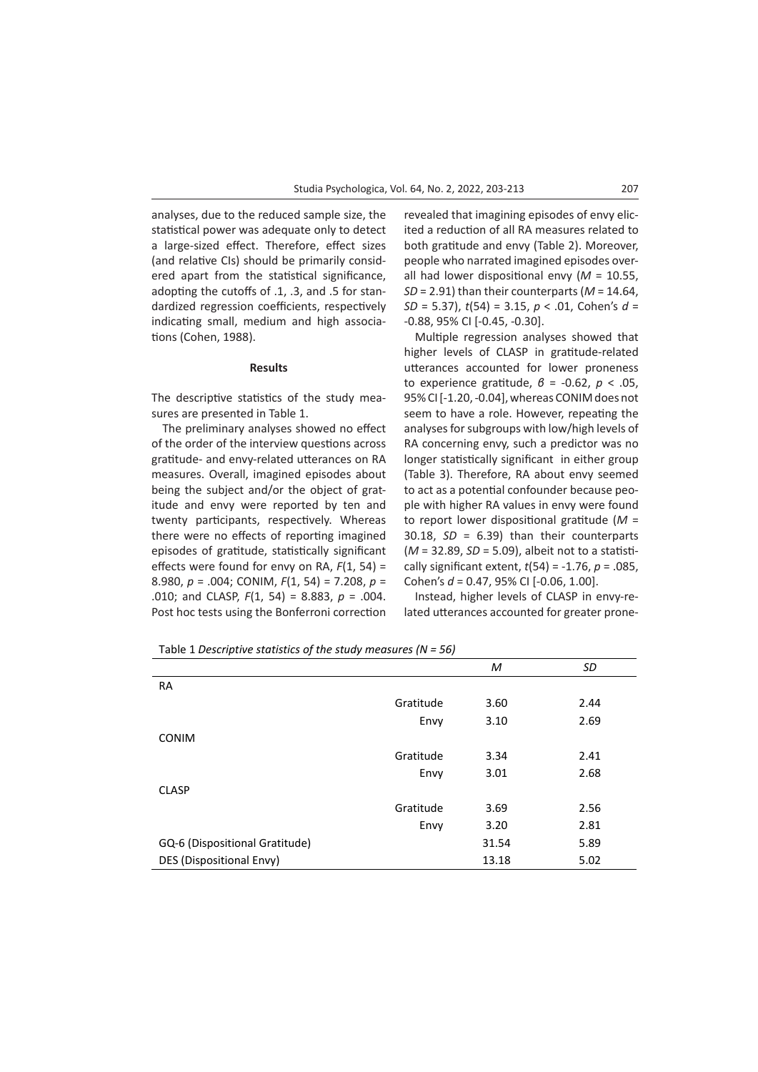analyses, due to the reduced sample size, the statistical power was adequate only to detect a large-sized effect. Therefore, effect sizes (and relative CIs) should be primarily considered apart from the statistical significance, adopting the cutoffs of .1, .3, and .5 for standardized regression coefficients, respectively indicating small, medium and high associations (Cohen, 1988).

## **Results**

The descriptive statistics of the study measures are presented in Table 1.

The preliminary analyses showed no effect of the order of the interview questions across gratitude- and envy-related utterances on RA measures. Overall, imagined episodes about being the subject and/or the object of gratitude and envy were reported by ten and twenty participants, respectively. Whereas there were no effects of reporting imagined episodes of gratitude, statistically significant effects were found for envy on RA, *F*(1, 54) = 8.980, *p* = .004; CONIM, *F*(1, 54) = 7.208, *p* = .010; and CLASP, *F*(1, 54) = 8.883, *p* = .004. Post hoc tests using the Bonferroni correction revealed that imagining episodes of envy elicited a reduction of all RA measures related to both gratitude and envy (Table 2). Moreover, people who narrated imagined episodes overall had lower dispositional envy (*M* = 10.55, *SD* = 2.91) than their counterparts (*M* = 14.64, *SD* = 5.37), *t*(54) = 3.15, *p* < .01, Cohen's *d* = -0.88, 95% CI [-0.45, -0.30].

Multiple regression analyses showed that higher levels of CLASP in gratitude-related utterances accounted for lower proneness to experience gratitude, *β* = -0.62, *p* < .05, 95% CI [-1.20, -0.04], whereas CONIM does not seem to have a role. However, repeating the analyses for subgroups with low/high levels of RA concerning envy, such a predictor was no longer statistically significant in either group (Table 3). Therefore, RA about envy seemed to act as a potential confounder because people with higher RA values in envy were found to report lower dispositional gratitude (*M* = 30.18, *SD* = 6.39) than their counterparts (*M* = 32.89, *SD* = 5.09), albeit not to a statistically significant extent, *t*(54) = -1.76, *p* = .085, Cohen's *d* = 0.47, 95% CI [-0.06, 1.00].

Instead, higher levels of CLASP in envy-related utterances accounted for greater prone-

Table 1 *Descriptive statistics of the study measures (N = 56)*

|                                |           | M     | SD   |
|--------------------------------|-----------|-------|------|
| <b>RA</b>                      |           |       |      |
|                                | Gratitude | 3.60  | 2.44 |
|                                | Envy      | 3.10  | 2.69 |
| <b>CONIM</b>                   |           |       |      |
|                                | Gratitude | 3.34  | 2.41 |
|                                | Envy      | 3.01  | 2.68 |
| <b>CLASP</b>                   |           |       |      |
|                                | Gratitude | 3.69  | 2.56 |
|                                | Envy      | 3.20  | 2.81 |
| GQ-6 (Dispositional Gratitude) |           | 31.54 | 5.89 |
| DES (Dispositional Envy)       |           | 13.18 | 5.02 |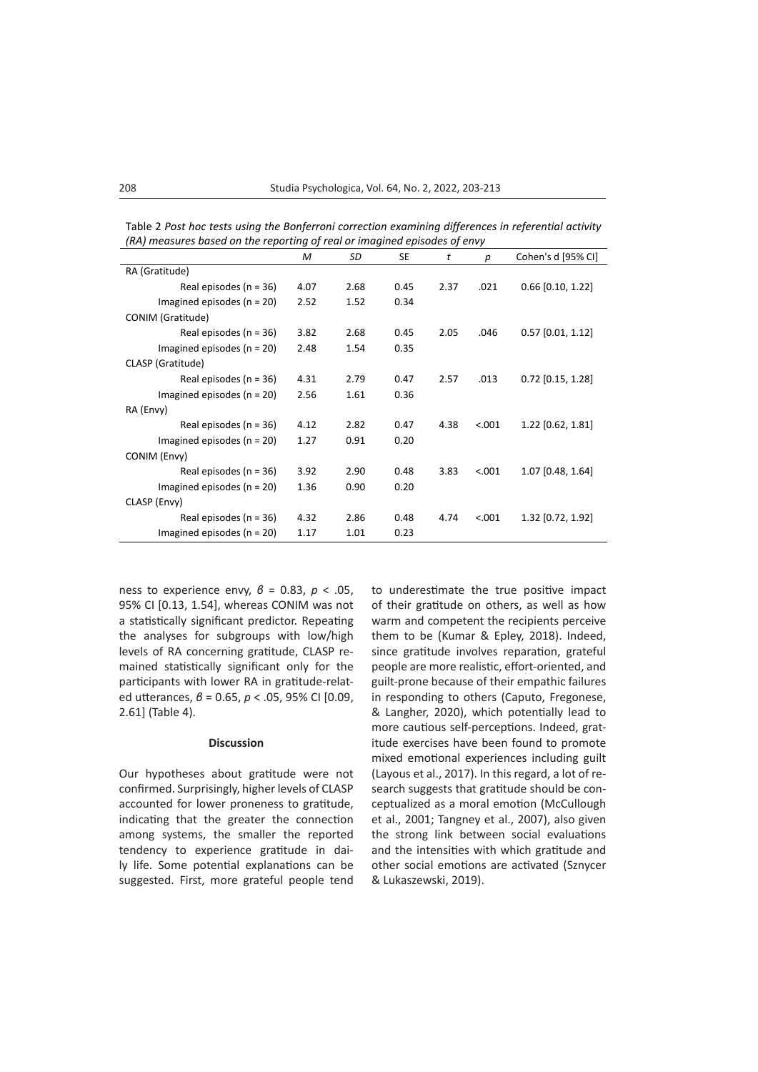| (RA) measures based on the reporting of real or imagined episodes of envy |      |      |           |      |        |                     |  |  |
|---------------------------------------------------------------------------|------|------|-----------|------|--------|---------------------|--|--|
|                                                                           | M    | SD   | <b>SE</b> | t    | р      | Cohen's d [95% CI]  |  |  |
| RA (Gratitude)                                                            |      |      |           |      |        |                     |  |  |
| Real episodes $(n = 36)$                                                  | 4.07 | 2.68 | 0.45      | 2.37 | .021   | $0.66$ [0.10, 1.22] |  |  |
| Imagined episodes ( $n = 20$ )                                            | 2.52 | 1.52 | 0.34      |      |        |                     |  |  |
| CONIM (Gratitude)                                                         |      |      |           |      |        |                     |  |  |
| Real episodes ( $n = 36$ )                                                | 3.82 | 2.68 | 0.45      | 2.05 | .046   | $0.57$ [0.01, 1.12] |  |  |
| Imagined episodes ( $n = 20$ )                                            | 2.48 | 1.54 | 0.35      |      |        |                     |  |  |
| CLASP (Gratitude)                                                         |      |      |           |      |        |                     |  |  |
| Real episodes ( $n = 36$ )                                                | 4.31 | 2.79 | 0.47      | 2.57 | .013   | $0.72$ [0.15, 1.28] |  |  |
| Imagined episodes ( $n = 20$ )                                            | 2.56 | 1.61 | 0.36      |      |        |                     |  |  |
| RA (Envy)                                                                 |      |      |           |      |        |                     |  |  |
| Real episodes ( $n = 36$ )                                                | 4.12 | 2.82 | 0.47      | 4.38 | < .001 | 1.22 [0.62, 1.81]   |  |  |
| Imagined episodes ( $n = 20$ )                                            | 1.27 | 0.91 | 0.20      |      |        |                     |  |  |
| CONIM (Envy)                                                              |      |      |           |      |        |                     |  |  |
| Real episodes ( $n = 36$ )                                                | 3.92 | 2.90 | 0.48      | 3.83 | < .001 | 1.07 [0.48, 1.64]   |  |  |
| Imagined episodes ( $n = 20$ )                                            | 1.36 | 0.90 | 0.20      |      |        |                     |  |  |
| CLASP (Envy)                                                              |      |      |           |      |        |                     |  |  |
| Real episodes ( $n = 36$ )                                                | 4.32 | 2.86 | 0.48      | 4.74 | < .001 | $1.32$ [0.72, 1.92] |  |  |
| Imagined episodes ( $n = 20$ )                                            | 1.17 | 1.01 | 0.23      |      |        |                     |  |  |

Table 2 *Post hoc tests using the Bonferroni correction examining differences in referential activity (RA) measures based on the reporting of real or imagined episodes of envy*

ness to experience envy, *β* = 0.83, *p* < .05, 95% CI [0.13, 1.54], whereas CONIM was not a statistically significant predictor. Repeating the analyses for subgroups with low/high levels of RA concerning gratitude, CLASP remained statistically significant only for the participants with lower RA in gratitude-related utterances, *β* = 0.65, *p* < .05, 95% CI [0.09, 2.61] (Table 4).

# **Discussion**

Our hypotheses about gratitude were not confirmed. Surprisingly, higher levels of CLASP accounted for lower proneness to gratitude, indicating that the greater the connection among systems, the smaller the reported tendency to experience gratitude in daily life. Some potential explanations can be suggested. First, more grateful people tend to underestimate the true positive impact of their gratitude on others, as well as how warm and competent the recipients perceive them to be (Kumar & Epley, 2018). Indeed, since gratitude involves reparation, grateful people are more realistic, effort-oriented, and guilt-prone because of their empathic failures in responding to others (Caputo, Fregonese, & Langher, 2020), which potentially lead to more cautious self-perceptions. Indeed, gratitude exercises have been found to promote mixed emotional experiences including guilt (Layous et al., 2017). In this regard, a lot of research suggests that gratitude should be conceptualized as a moral emotion (McCullough et al., 2001; Tangney et al., 2007), also given the strong link between social evaluations and the intensities with which gratitude and other social emotions are activated (Sznycer & Lukaszewski, 2019).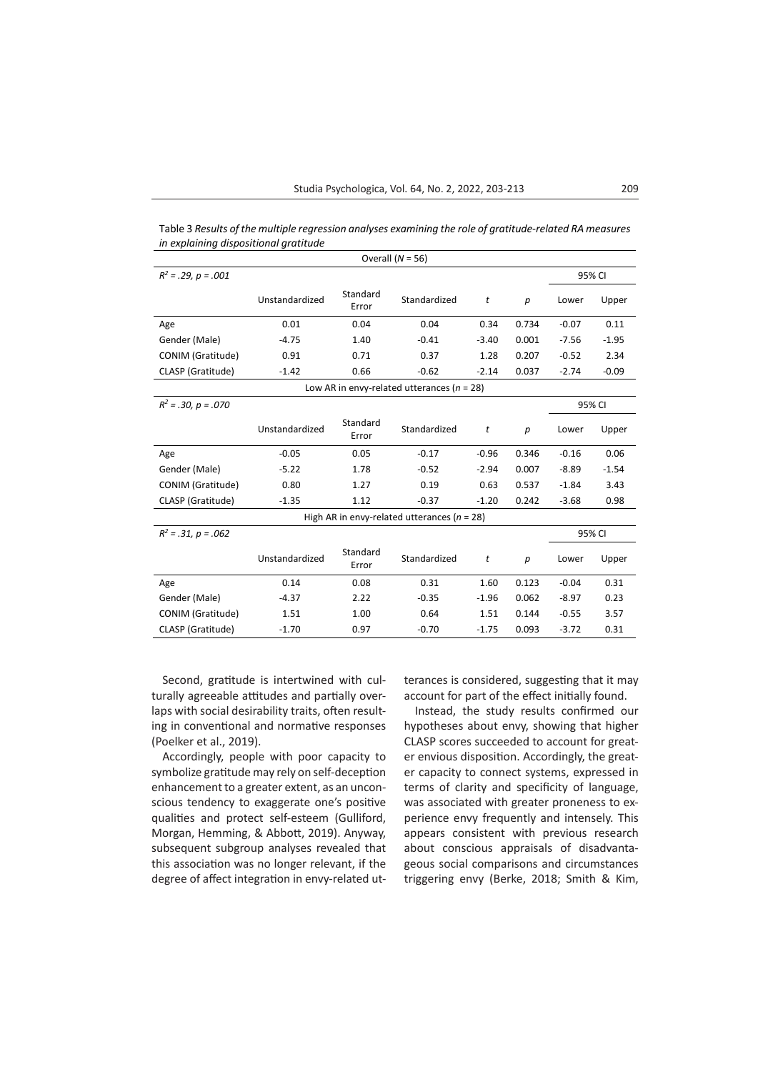Table 3 *Results of the multiple regression analyses examining the role of gratitude-related RA measures in explaining dispositional gratitude*

| Overall $(N = 56)$                              |                |                   |              |         |       |         |         |  |  |
|-------------------------------------------------|----------------|-------------------|--------------|---------|-------|---------|---------|--|--|
| $R^2 = .29$ , $p = .001$                        |                |                   |              |         |       | 95% CI  |         |  |  |
|                                                 | Unstandardized | Standard<br>Error | Standardized | t       | р     | Lower   | Upper   |  |  |
| Age                                             | 0.01           | 0.04              | 0.04         | 0.34    | 0.734 | $-0.07$ | 0.11    |  |  |
| Gender (Male)                                   | $-4.75$        | 1.40              | $-0.41$      | $-3.40$ | 0.001 | $-7.56$ | $-1.95$ |  |  |
| CONIM (Gratitude)                               | 0.91           | 0.71              | 0.37         | 1.28    | 0.207 | $-0.52$ | 2.34    |  |  |
| CLASP (Gratitude)                               | $-1.42$        | 0.66              | $-0.62$      | $-2.14$ | 0.037 | $-2.74$ | $-0.09$ |  |  |
| Low AR in envy-related utterances ( $n = 28$ )  |                |                   |              |         |       |         |         |  |  |
| $R^2 = .30, p = .070$                           |                |                   |              |         |       | 95% CI  |         |  |  |
|                                                 | Unstandardized | Standard<br>Error | Standardized | t       | p     | Lower   | Upper   |  |  |
| Age                                             | $-0.05$        | 0.05              | $-0.17$      | $-0.96$ | 0.346 | $-0.16$ | 0.06    |  |  |
| Gender (Male)                                   | $-5.22$        | 1.78              | $-0.52$      | $-2.94$ | 0.007 | $-8.89$ | $-1.54$ |  |  |
| CONIM (Gratitude)                               | 0.80           | 1.27              | 0.19         | 0.63    | 0.537 | $-1.84$ | 3.43    |  |  |
| CLASP (Gratitude)                               | $-1.35$        | 1.12              | $-0.37$      | $-1.20$ | 0.242 | $-3.68$ | 0.98    |  |  |
| High AR in envy-related utterances ( $n = 28$ ) |                |                   |              |         |       |         |         |  |  |
| $R^2 = .31, p = .062$                           |                |                   |              |         |       | 95% CI  |         |  |  |
|                                                 | Unstandardized | Standard<br>Error | Standardized | t       | р     | Lower   | Upper   |  |  |
| Age                                             | 0.14           | 0.08              | 0.31         | 1.60    | 0.123 | $-0.04$ | 0.31    |  |  |
| Gender (Male)                                   | $-4.37$        | 2.22              | $-0.35$      | $-1.96$ | 0.062 | $-8.97$ | 0.23    |  |  |
| CONIM (Gratitude)                               | 1.51           | 1.00              | 0.64         | 1.51    | 0.144 | $-0.55$ | 3.57    |  |  |
| CLASP (Gratitude)                               | $-1.70$        | 0.97              | $-0.70$      | $-1.75$ | 0.093 | $-3.72$ | 0.31    |  |  |

Second, gratitude is intertwined with culturally agreeable attitudes and partially overlaps with social desirability traits, often resulting in conventional and normative responses (Poelker et al., 2019).

Accordingly, people with poor capacity to symbolize gratitude may rely on self-deception enhancement to a greater extent, as an unconscious tendency to exaggerate one's positive qualities and protect self-esteem (Gulliford, Morgan, Hemming, & Abbott, 2019). Anyway, subsequent subgroup analyses revealed that this association was no longer relevant, if the degree of affect integration in envy-related utterances is considered, suggesting that it may account for part of the effect initially found.

Instead, the study results confirmed our hypotheses about envy, showing that higher CLASP scores succeeded to account for greater envious disposition. Accordingly, the greater capacity to connect systems, expressed in terms of clarity and specificity of language, was associated with greater proneness to experience envy frequently and intensely. This appears consistent with previous research about conscious appraisals of disadvantageous social comparisons and circumstances triggering envy (Berke, 2018; Smith & Kim,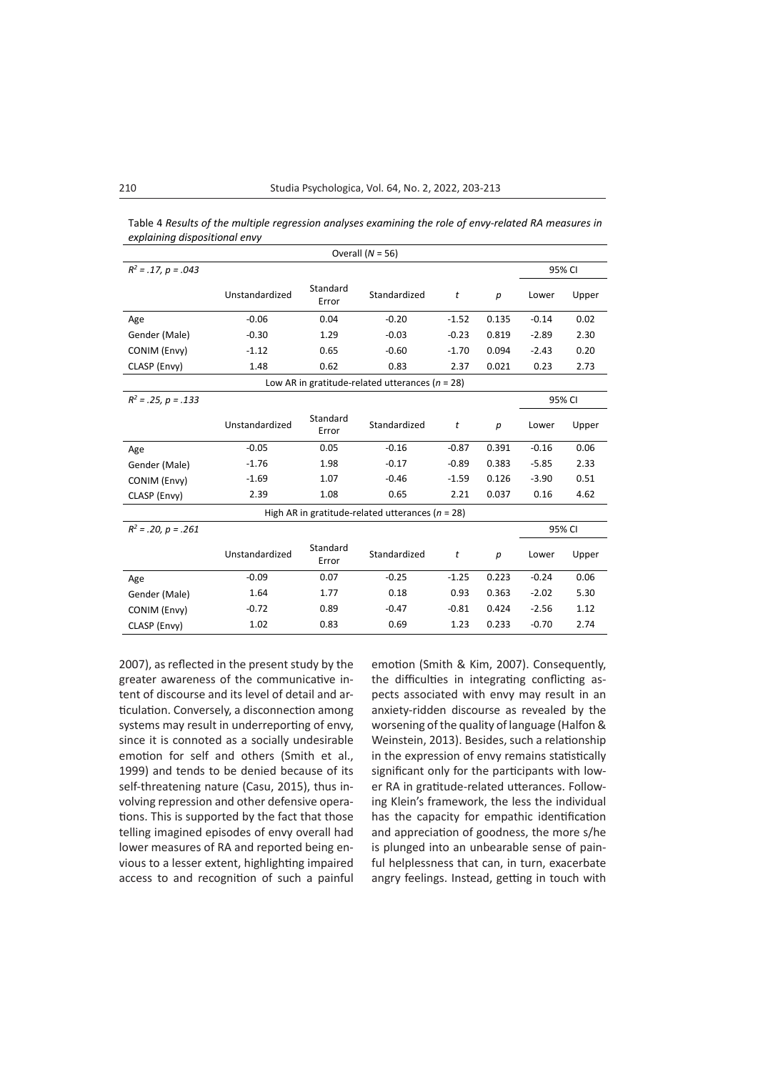| Overall $(N = 56)$                                   |                |                   |              |         |                  |         |        |  |  |
|------------------------------------------------------|----------------|-------------------|--------------|---------|------------------|---------|--------|--|--|
| $R^2 = .17$ , $p = .043$                             |                |                   |              |         |                  |         | 95% CI |  |  |
|                                                      | Unstandardized | Standard<br>Error | Standardized | t       | р                | Lower   | Upper  |  |  |
| Age                                                  | $-0.06$        | 0.04              | $-0.20$      | $-1.52$ | 0.135            | $-0.14$ | 0.02   |  |  |
| Gender (Male)                                        | $-0.30$        | 1.29              | $-0.03$      | $-0.23$ | 0.819            | $-2.89$ | 2.30   |  |  |
| CONIM (Envy)                                         | $-1.12$        | 0.65              | $-0.60$      | $-1.70$ | 0.094            | $-2.43$ | 0.20   |  |  |
| CLASP (Envy)                                         | 1.48           | 0.62              | 0.83         | 2.37    | 0.021            | 0.23    | 2.73   |  |  |
| Low AR in gratitude-related utterances ( $n = 28$ )  |                |                   |              |         |                  |         |        |  |  |
| $R^2 = .25$ , $p = .133$                             |                |                   |              |         |                  | 95% CI  |        |  |  |
|                                                      | Unstandardized | Standard<br>Error | Standardized | t       | $\boldsymbol{p}$ | Lower   | Upper  |  |  |
| Age                                                  | $-0.05$        | 0.05              | $-0.16$      | $-0.87$ | 0.391            | $-0.16$ | 0.06   |  |  |
| Gender (Male)                                        | $-1.76$        | 1.98              | $-0.17$      | $-0.89$ | 0.383            | $-5.85$ | 2.33   |  |  |
| CONIM (Envy)                                         | $-1.69$        | 1.07              | $-0.46$      | $-1.59$ | 0.126            | $-3.90$ | 0.51   |  |  |
| CLASP (Envy)                                         | 2.39           | 1.08              | 0.65         | 2.21    | 0.037            | 0.16    | 4.62   |  |  |
| High AR in gratitude-related utterances ( $n = 28$ ) |                |                   |              |         |                  |         |        |  |  |
| $R^2 = .20$ , $p = .261$                             | 95% CI         |                   |              |         |                  |         |        |  |  |
|                                                      | Unstandardized | Standard<br>Error | Standardized | t       | $\boldsymbol{p}$ | Lower   | Upper  |  |  |
| Age                                                  | $-0.09$        | 0.07              | $-0.25$      | $-1.25$ | 0.223            | $-0.24$ | 0.06   |  |  |
| Gender (Male)                                        | 1.64           | 1.77              | 0.18         | 0.93    | 0.363            | $-2.02$ | 5.30   |  |  |
| CONIM (Envy)                                         | $-0.72$        | 0.89              | $-0.47$      | $-0.81$ | 0.424            | $-2.56$ | 1.12   |  |  |
| CLASP (Envy)                                         | 1.02           | 0.83              | 0.69         | 1.23    | 0.233            | $-0.70$ | 2.74   |  |  |

Table 4 *Results of the multiple regression analyses examining the role of envy-related RA measures in explaining dispositional envy*

2007), as reflected in the present study by the greater awareness of the communicative intent of discourse and its level of detail and articulation. Conversely, a disconnection among systems may result in underreporting of envy, since it is connoted as a socially undesirable emotion for self and others (Smith et al., 1999) and tends to be denied because of its self-threatening nature (Casu, 2015), thus involving repression and other defensive operations. This is supported by the fact that those telling imagined episodes of envy overall had lower measures of RA and reported being envious to a lesser extent, highlighting impaired access to and recognition of such a painful emotion (Smith & Kim, 2007). Consequently, the difficulties in integrating conflicting aspects associated with envy may result in an anxiety-ridden discourse as revealed by the worsening of the quality of language (Halfon & Weinstein, 2013). Besides, such a relationship in the expression of envy remains statistically significant only for the participants with lower RA in gratitude-related utterances. Following Klein's framework, the less the individual has the capacity for empathic identification and appreciation of goodness, the more s/he is plunged into an unbearable sense of painful helplessness that can, in turn, exacerbate angry feelings. Instead, getting in touch with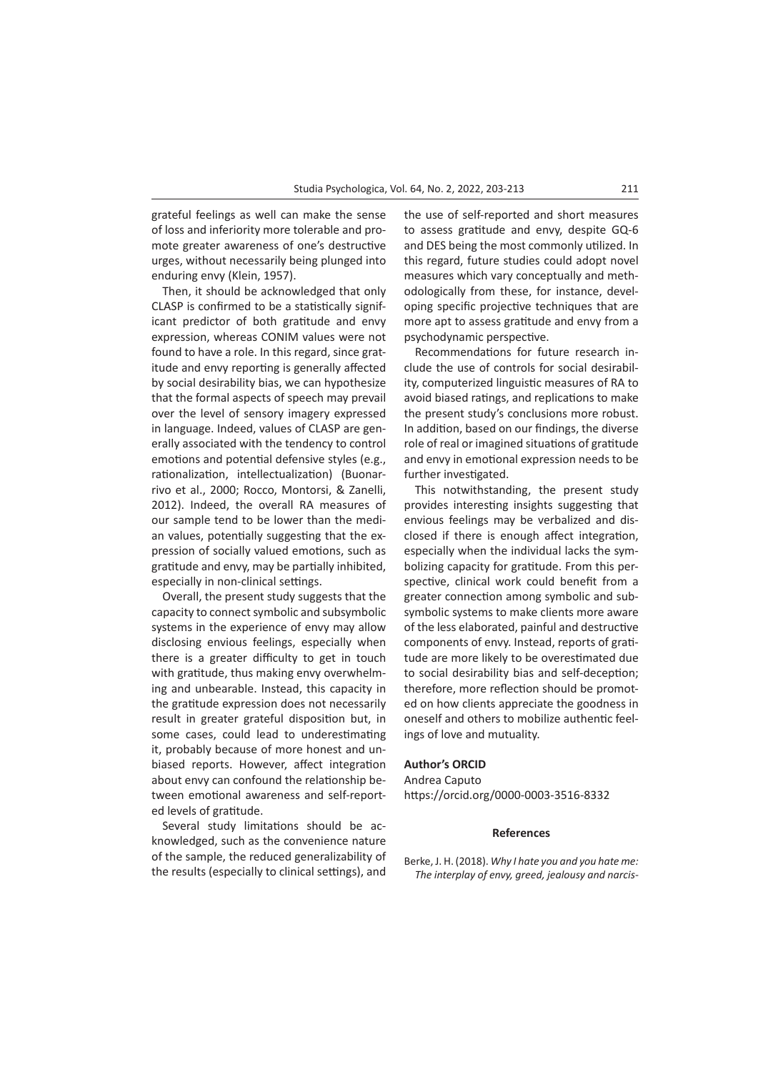grateful feelings as well can make the sense of loss and inferiority more tolerable and promote greater awareness of one's destructive urges, without necessarily being plunged into enduring envy (Klein, 1957).

Then, it should be acknowledged that only CLASP is confirmed to be a statistically significant predictor of both gratitude and envy expression, whereas CONIM values were not found to have a role. In this regard, since gratitude and envy reporting is generally affected by social desirability bias, we can hypothesize that the formal aspects of speech may prevail over the level of sensory imagery expressed in language. Indeed, values of CLASP are generally associated with the tendency to control emotions and potential defensive styles (e.g., rationalization, intellectualization) (Buonarrivo et al., 2000; Rocco, Montorsi, & Zanelli, 2012). Indeed, the overall RA measures of our sample tend to be lower than the median values, potentially suggesting that the expression of socially valued emotions, such as gratitude and envy, may be partially inhibited, especially in non-clinical settings.

Overall, the present study suggests that the capacity to connect symbolic and subsymbolic systems in the experience of envy may allow disclosing envious feelings, especially when there is a greater difficulty to get in touch with gratitude, thus making envy overwhelming and unbearable. Instead, this capacity in the gratitude expression does not necessarily result in greater grateful disposition but, in some cases, could lead to underestimating it, probably because of more honest and unbiased reports. However, affect integration about envy can confound the relationship between emotional awareness and self-reported levels of gratitude.

Several study limitations should be acknowledged, such as the convenience nature of the sample, the reduced generalizability of the results (especially to clinical settings), and the use of self-reported and short measures to assess gratitude and envy, despite GQ-6 and DES being the most commonly utilized. In this regard, future studies could adopt novel measures which vary conceptually and methodologically from these, for instance, developing specific projective techniques that are more apt to assess gratitude and envy from a psychodynamic perspective.

Recommendations for future research include the use of controls for social desirability, computerized linguistic measures of RA to avoid biased ratings, and replications to make the present study's conclusions more robust. In addition, based on our findings, the diverse role of real or imagined situations of gratitude and envy in emotional expression needs to be further investigated.

This notwithstanding, the present study provides interesting insights suggesting that envious feelings may be verbalized and disclosed if there is enough affect integration, especially when the individual lacks the symbolizing capacity for gratitude. From this perspective, clinical work could benefit from a greater connection among symbolic and subsymbolic systems to make clients more aware of the less elaborated, painful and destructive components of envy. Instead, reports of gratitude are more likely to be overestimated due to social desirability bias and self-deception; therefore, more reflection should be promoted on how clients appreciate the goodness in oneself and others to mobilize authentic feelings of love and mutuality.

## **Author's ORCID**

Andrea Caputo https://orcid.org/0000-0003-3516-8332

### **References**

Berke, J. H. (2018). *Why I hate you and you hate me: The interplay of envy, greed, jealousy and narcis-*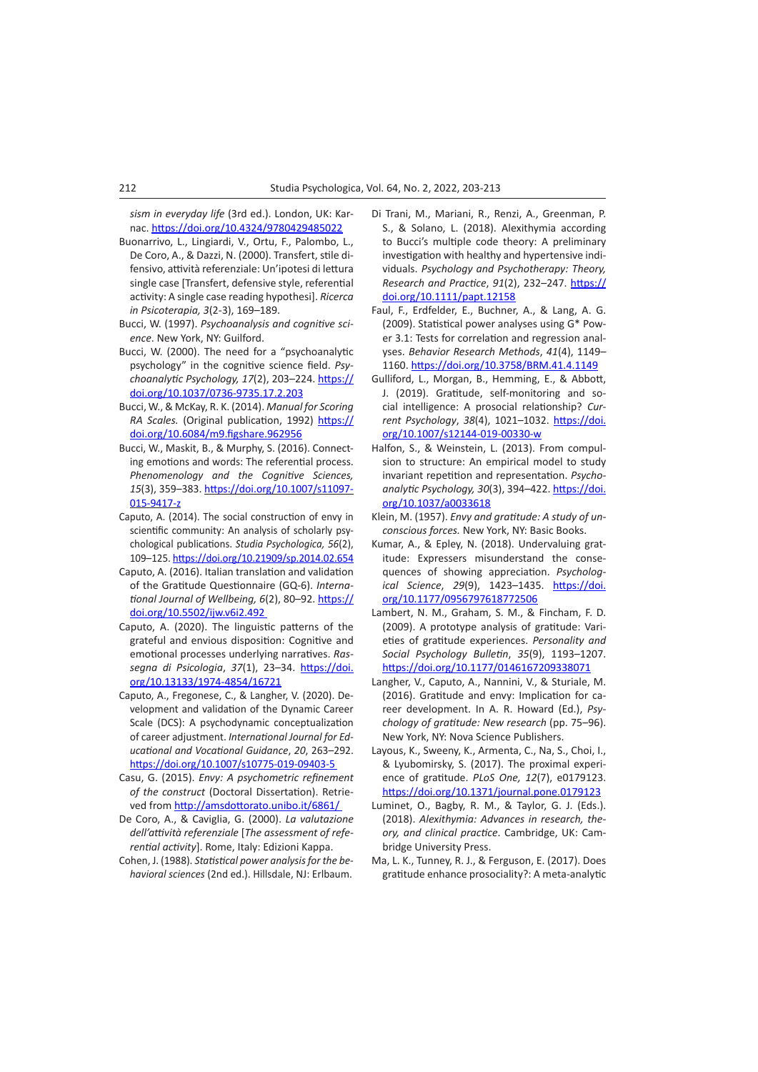*sism in everyday life* (3rd ed.). London, UK: Karnac.<https://doi.org/10.4324/9780429485022>

- Buonarrivo, L., Lingiardi, V., Ortu, F., Palombo, L., De Coro, A., & Dazzi, N. (2000). Transfert, stile difensivo, attività referenziale: Un'ipotesi di lettura single case [Transfert, defensive style, referential activity: A single case reading hypothesi]. *Ricerca in Psicoterapia, 3*(2-3), 169–189.
- Bucci, W. (1997). *Psychoanalysis and cognitive science*. New York, NY: Guilford.
- Bucci, W. (2000). The need for a "psychoanalytic psychology" in the cognitive science field. *Psychoanalytic Psychology, 17*(2), 203–224. [https://](https://psycnet.apa.org/doi/10.1037/0736-9735.17.2.203) [doi.org/10.1037/0736-9735.17.2.203](https://psycnet.apa.org/doi/10.1037/0736-9735.17.2.203)
- Bucci, W., & McKay, R. K. (2014). *Manual for Scoring RA Scales.* (Original publication, 1992) [https://](https://doi.org/10.6084/m9.figshare.962956) [doi.org/10.6084/m9.figshare.962956](https://doi.org/10.6084/m9.figshare.962956)
- Bucci, W., Maskit, B., & Murphy, S. (2016). Connecting emotions and words: The referential process. *Phenomenology and the Cognitive Sciences, 15*(3), 359–383. [https://doi.org/10.1007/s11097-](https://doi.org/10.1007/s11097-015-9417-z) [015-9417-z](https://doi.org/10.1007/s11097-015-9417-z)
- Caputo, A. (2014). The social construction of envy in scientific community: An analysis of scholarly psychological publications. *Studia Psychologica, 56*(2), 109–125.<https://doi.org/10.21909/sp.2014.02.654>
- Caputo, A. (2016). Italian translation and validation of the Gratitude Questionnaire (GQ-6). *International Journal of Wellbeing, 6*(2), 80–92. [https://](https://doi.org/10.5502/ijw.v6i2.492) [doi.org/10.5502/ijw.v6i2.492](https://doi.org/10.5502/ijw.v6i2.492)
- Caputo, A. (2020). The linguistic patterns of the grateful and envious disposition: Cognitive and emotional processes underlying narratives. *Rassegna di Psicologia*, *37*(1), 23–34. [https://doi.](https://doi.org/10.13133/1974-4854/16721) [org/10.13133/1974-4854/16721](https://doi.org/10.13133/1974-4854/16721)
- Caputo, A., Fregonese, C., & Langher, V. (2020). Development and validation of the Dynamic Career Scale (DCS): A psychodynamic conceptualization of career adjustment. *International Journal for Educational and Vocational Guidance*, *20*, 263–292. <https://doi.org/10.1007/s10775-019-09403-5>
- Casu, G. (2015). *Envy: A psychometric refinement of the construct* (Doctoral Dissertation). Retrieved from <http://amsdottorato.unibo.it/6861/>
- De Coro, A., & Caviglia, G. (2000). *La valutazione dell'attività referenziale* [*The assessment of referential activity*]. Rome, Italy: Edizioni Kappa.
- Cohen, J. (1988). *Statistical power analysis for the behavioral sciences* (2nd ed.). Hillsdale, NJ: Erlbaum.
- Di Trani, M., Mariani, R., Renzi, A., Greenman, P. S., & Solano, L. (2018). Alexithymia according to Bucci's multiple code theory: A preliminary investigation with healthy and hypertensive individuals. *Psychology and Psychotherapy: Theory, Research and Practice*, *91*(2), 232–247. [https://](https://doi.org/10.1111/papt.12158) [doi.org/10.1111/papt.12158](https://doi.org/10.1111/papt.12158)
- Faul, F., Erdfelder, E., Buchner, A., & Lang, A. G. (2009). Statistical power analyses using G\* Power 3.1: Tests for correlation and regression analyses. *Behavior Research Methods*, *41*(4), 1149– 1160.<https://doi.org/10.3758/BRM.41.4.1149>
- Gulliford, L., Morgan, B., Hemming, E., & Abbott, J. (2019). Gratitude, self-monitoring and social intelligence: A prosocial relationship? *Current Psychology*, *38*(4), 1021–1032. [https://doi.](https://doi.org/10.1007/s12144-019-00330-w) [org/10.1007/s12144-019-00330-w](https://doi.org/10.1007/s12144-019-00330-w)
- Halfon, S., & Weinstein, L. (2013). From compulsion to structure: An empirical model to study invariant repetition and representation. *Psychoanalytic Psychology, 30*(3), 394–422. [https://doi.](https://doi.org/10.1037/a0033618) [org/10.1037/a0033618](https://doi.org/10.1037/a0033618)
- Klein, M. (1957). *Envy and gratitude: A study of unconscious forces.* New York, NY: Basic Books.
- Kumar, A., & Epley, N. (2018). Undervaluing gratitude: Expressers misunderstand the consequences of showing appreciation. *Psychological Science*, *29*(9), 1423–1435. [https://doi.](https://doi.org/10.1177/0956797618772506) [org/10.1177/0956797618772506](https://doi.org/10.1177/0956797618772506)
- Lambert, N. M., Graham, S. M., & Fincham, F. D. (2009). A prototype analysis of gratitude: Varieties of gratitude experiences. *Personality and Social Psychology Bulletin*, *35*(9), 1193–1207. <https://doi.org/10.1177/0146167209338071>
- Langher, V., Caputo, A., Nannini, V., & Sturiale, M. (2016). Gratitude and envy: Implication for career development. In A. R. Howard (Ed.), *Psychology of gratitude: New research* (pp. 75–96). New York, NY: Nova Science Publishers.
- Layous, K., Sweeny, K., Armenta, C., Na, S., Choi, I., & Lyubomirsky, S. (2017). The proximal experience of gratitude. *PLoS One, 12*(7), e0179123. <https://doi.org/10.1371/journal.pone.0179123>
- Luminet, O., Bagby, R. M., & Taylor, G. J. (Eds.). (2018). *Alexithymia: Advances in research, theory, and clinical practice*. Cambridge, UK: Cambridge University Press.
- Ma, L. K., Tunney, R. J., & Ferguson, E. (2017). Does gratitude enhance prosociality?: A meta-analytic